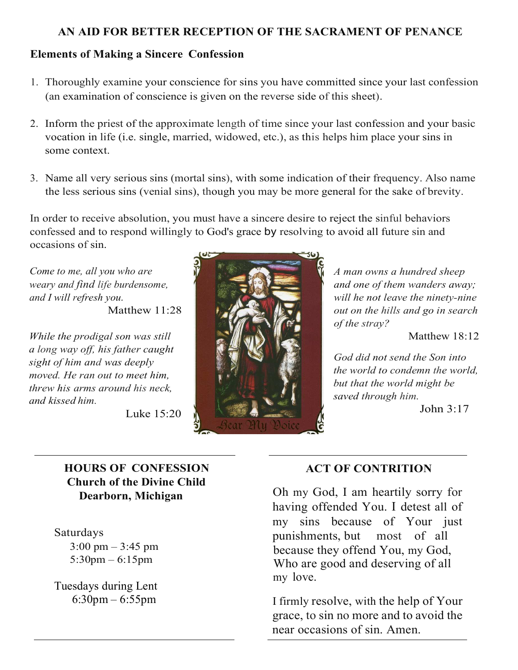## **AN AID FOR BETTER RECEPTION OF THE SACRAMENT OF PENANCE**

### **Elements of Making a Sincere Confession**

- 1. Thoroughly examine your conscience for sins you have committed since your last confession (an examination of conscience is given on the reverse side of this sheet).
- 2. Inform the priest of the approximate length of time since your last confession and your basic vocation in life (i.e. single, married, widowed, etc.), as this helps him place your sins in some context.
- 3. Name all very serious sins (mortal sins), with some indication of their frequency. Also name the less serious sins (venial sins), though you may be more general for the sake of brevity.

In order to receive absolution, you must have a sincere desire to reject the sinful behaviors confessed and to respond willingly to God's grace by resolving to avoid all future sin and occasions of sin.

*Come to me, all you who are weary and find life burdensome, and I will refresh you.* Matthew 11:28

*While the prodigal son was still a long way off, his father caught sight of him and was deeply moved. He ran out to meet him, threw his arms around his neck, and kissed him.*

Luke 15:20



*A man owns a hundred sheep and one of them wanders away; will he not leave the ninety-nine out on the hills and go in search of the stray?*

Matthew 18:12

*God did not send the Son into the world to condemn the world, but that the world might be saved through him.*

John 3:17

# **HOURS OF CONFESSION Church of the Divine Child Dearborn, Michigan**

Saturdays  $3:00 \text{ pm} - 3:45 \text{ pm}$ 5:30pm – 6:15pm

 Tuesdays during Lent 6:30pm – 6:55pm

## **ACT OF CONTRITION**

Oh my God, I am heartily sorry for having offended You. I detest all of my sins because of Your just punishments, but most of all because they offend You, my God, Who are good and deserving of all my love.

I firmly resolve, with the help of Your grace, to sin no more and to avoid the near occasions of sin. Amen.